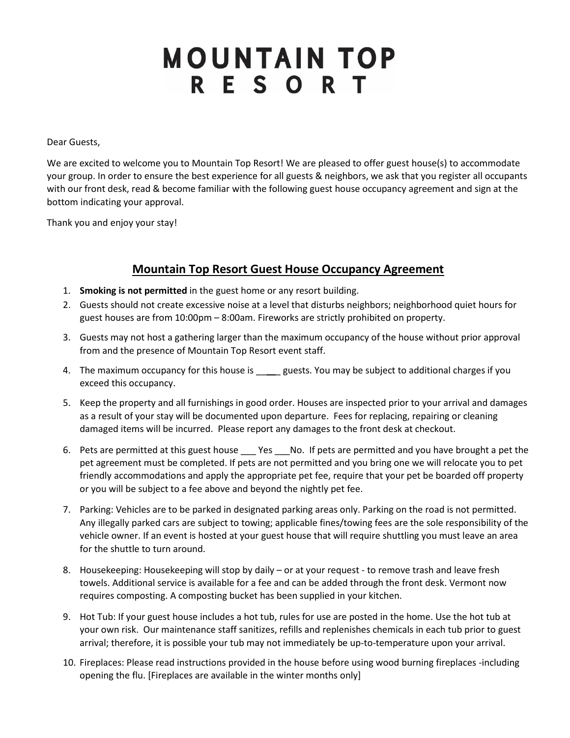## **MOUNTAIN TOP RESORT**

Dear Guests,

We are excited to welcome you to Mountain Top Resort! We are pleased to offer guest house(s) to accommodate your group. In order to ensure the best experience for all guests & neighbors, we ask that you register all occupants with our front desk, read & become familiar with the following guest house occupancy agreement and sign at the bottom indicating your approval.

Thank you and enjoy your stay!

## **Mountain Top Resort Guest House Occupancy Agreement**

- 1. **Smoking is not permitted** in the guest home or any resort building.
- 2. Guests should not create excessive noise at a level that disturbs neighbors; neighborhood quiet hours for guest houses are from 10:00pm – 8:00am. Fireworks are strictly prohibited on property.
- 3. Guests may not host a gathering larger than the maximum occupancy of the house without prior approval from and the presence of Mountain Top Resort event staff.
- 4. The maximum occupancy for this house is equests. You may be subject to additional charges if you exceed this occupancy.
- 5. Keep the property and all furnishings in good order. Houses are inspected prior to your arrival and damages as a result of your stay will be documented upon departure. Fees for replacing, repairing or cleaning damaged items will be incurred. Please report any damages to the front desk at checkout.
- 6. Pets are permitted at this guest house Yes No. If pets are permitted and you have brought a pet the pet agreement must be completed. If pets are not permitted and you bring one we will relocate you to pet friendly accommodations and apply the appropriate pet fee, require that your pet be boarded off property or you will be subject to a fee above and beyond the nightly pet fee.
- 7. Parking: Vehicles are to be parked in designated parking areas only. Parking on the road is not permitted. Any illegally parked cars are subject to towing; applicable fines/towing fees are the sole responsibility of the vehicle owner. If an event is hosted at your guest house that will require shuttling you must leave an area for the shuttle to turn around.
- 8. Housekeeping: Housekeeping will stop by daily or at your request to remove trash and leave fresh towels. Additional service is available for a fee and can be added through the front desk. Vermont now requires composting. A composting bucket has been supplied in your kitchen.
- 9. Hot Tub: If your guest house includes a hot tub, rules for use are posted in the home. Use the hot tub at your own risk. Our maintenance staff sanitizes, refills and replenishes chemicals in each tub prior to guest arrival; therefore, it is possible your tub may not immediately be up-to-temperature upon your arrival.
- 10. Fireplaces: Please read instructions provided in the house before using wood burning fireplaces -including opening the flu. [Fireplaces are available in the winter months only]